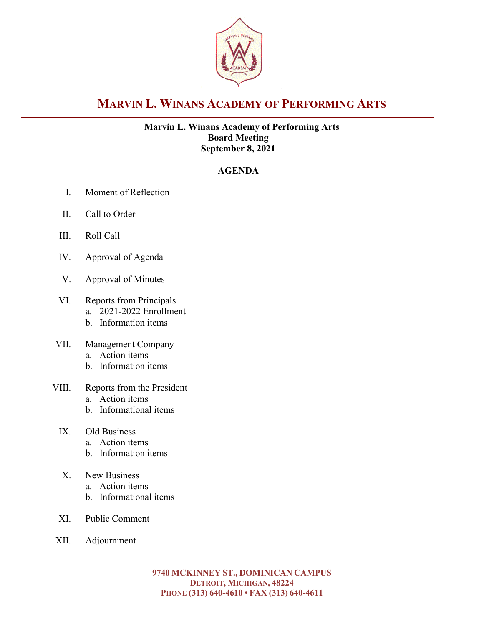

# **MARVIN L. WINANS ACADEMY OF PERFORMING ARTS**

### **Marvin L. Winans Academy of Performing Arts Board Meeting September 8, 2021**

### **AGENDA**

- I. Moment of Reflection
- II. Call to Order
- III. Roll Call
- IV. Approval of Agenda
- V. Approval of Minutes
- VI. Reports from Principals
	- a. 2021-2022 Enrollment
	- b. Information items
- VII. Management Company
	- a. Action items
	- b. Information items
- VIII. Reports from the President
	- a. Action items
	- b. Informational items
	- IX. Old Business
		- a. Action items
		- b. Information items
	- X. New Business
		- a. Action items
		- b. Informational items
	- XI. Public Comment
- XII. Adjournment

**9740 MCKINNEY ST., DOMINICAN CAMPUS DETROIT, MICHIGAN, 48224 PHONE (313) 640-4610 • FAX (313) 640-4611**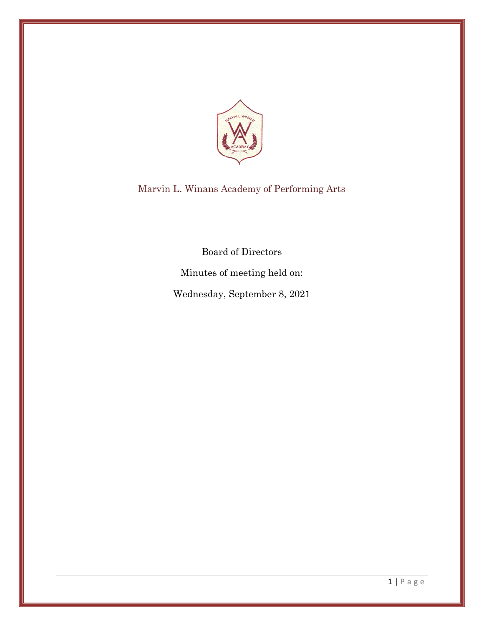

Marvin L. Winans Academy of Performing Arts

Board of Directors

Minutes of meeting held on:

Wednesday, September 8, 2021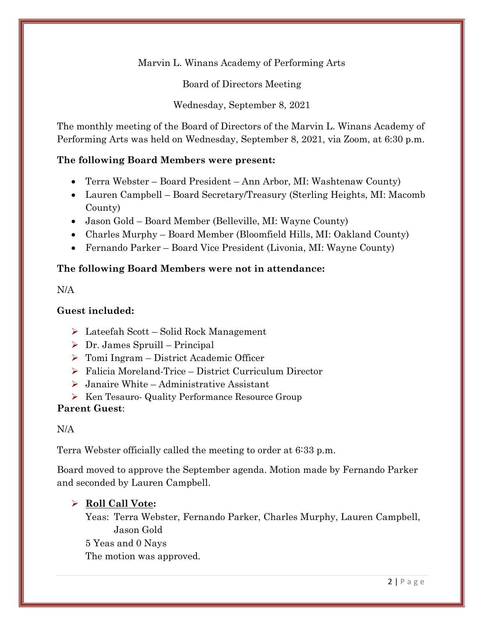Marvin L. Winans Academy of Performing Arts

Board of Directors Meeting

Wednesday, September 8, 2021

The monthly meeting of the Board of Directors of the Marvin L. Winans Academy of Performing Arts was held on Wednesday, September 8, 2021, via Zoom, at 6:30 p.m.

### **The following Board Members were present:**

- Terra Webster Board President Ann Arbor, MI: Washtenaw County)
- Lauren Campbell Board Secretary/Treasury (Sterling Heights, MI: Macomb County)
- Jason Gold Board Member (Belleville, MI: Wayne County)
- Charles Murphy Board Member (Bloomfield Hills, MI: Oakland County)
- Fernando Parker Board Vice President (Livonia, MI: Wayne County)

### **The following Board Members were not in attendance:**

N/A

### **Guest included:**

- ➢ Lateefah Scott Solid Rock Management
- $\triangleright$  Dr. James Spruill Principal
- ➢ Tomi Ingram District Academic Officer
- ➢ Falicia Moreland-Trice District Curriculum Director
- $\triangleright$  Janaire White Administrative Assistant
- ➢ Ken Tesauro- Quality Performance Resource Group

### **Parent Guest**:

N/A

Terra Webster officially called the meeting to order at 6:33 p.m.

Board moved to approve the September agenda. Motion made by Fernando Parker and seconded by Lauren Campbell.

### ➢ **Roll Call Vote:**

Yeas: Terra Webster, Fernando Parker, Charles Murphy, Lauren Campbell, Jason Gold 5 Yeas and 0 Nays The motion was approved.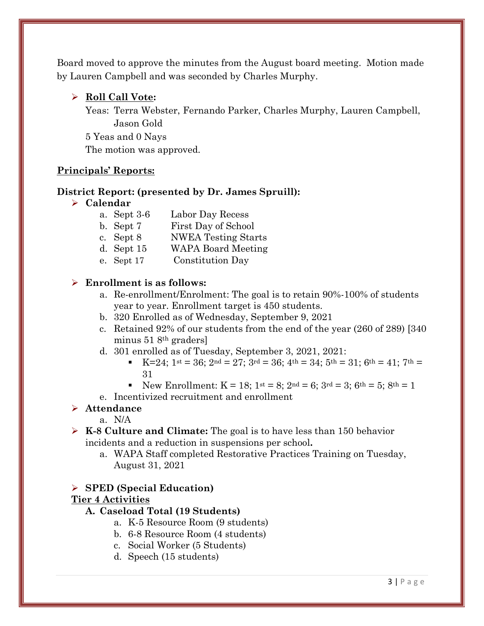Board moved to approve the minutes from the August board meeting. Motion made by Lauren Campbell and was seconded by Charles Murphy.

### ➢ **Roll Call Vote:**

Yeas: Terra Webster, Fernando Parker, Charles Murphy, Lauren Campbell, Jason Gold 5 Yeas and 0 Nays The motion was approved.

### **Principals' Reports:**

### **District Report: (presented by Dr. James Spruill):**

#### ➢ **Calendar**

- a. Sept 3-6 Labor Day Recess
- b. Sept 7 First Day of School
- c. Sept 8 NWEA Testing Starts
- d. Sept 15 WAPA Board Meeting
- e. Sept 17 Constitution Day

### ➢ **Enrollment is as follows:**

- a. Re-enrollment/Enrolment: The goal is to retain 90%-100% of students year to year. Enrollment target is 450 students.
- b. 320 Enrolled as of Wednesday, September 9, 2021
- c. Retained 92% of our students from the end of the year (260 of 289) [340 minus 51 8th graders]
- d. 301 enrolled as of Tuesday, September 3, 2021, 2021:
	- $\text{K}=24$ ; 1st = 36; 2nd = 27; 3rd = 36; 4th = 34; 5th = 31; 6th = 41; 7th = 31
	- New Enrollment:  $K = 18$ ;  $1^{st} = 8$ ;  $2^{nd} = 6$ ;  $3^{rd} = 3$ ;  $6^{th} = 5$ ;  $8^{th} = 1$
- e. Incentivized recruitment and enrollment

### ➢ **Attendance**

a. N/A

- ➢ **K-8 Culture and Climate:** The goal is to have less than 150 behavior incidents and a reduction in suspensions per school**.** 
	- a. WAPA Staff completed Restorative Practices Training on Tuesday, August 31, 2021

### ➢ **SPED (Special Education)**

### **Tier 4 Activities**

### **A. Caseload Total (19 Students)**

- a. K-5 Resource Room (9 students)
- b. 6-8 Resource Room (4 students)
- c. Social Worker (5 Students)
- d. Speech (15 students)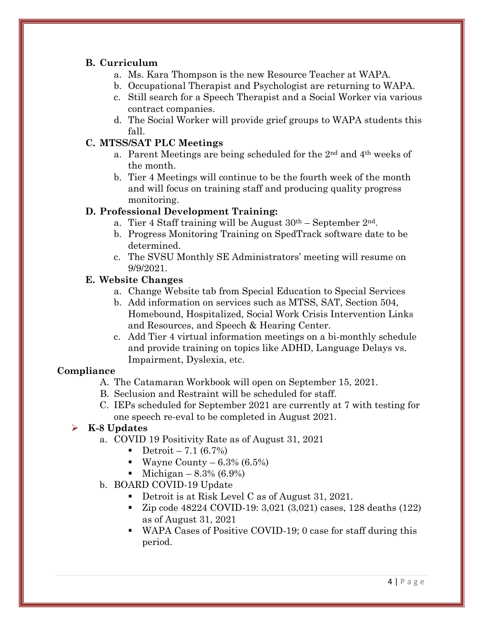### **B. Curriculum**

- a. Ms. Kara Thompson is the new Resource Teacher at WAPA.
- b. Occupational Therapist and Psychologist are returning to WAPA.
- c. Still search for a Speech Therapist and a Social Worker via various contract companies.
- d. The Social Worker will provide grief groups to WAPA students this fall.

### **C. MTSS/SAT PLC Meetings**

- a. Parent Meetings are being scheduled for the 2nd and 4th weeks of the month.
- b. Tier 4 Meetings will continue to be the fourth week of the month and will focus on training staff and producing quality progress monitoring.

### **D. Professional Development Training:**

- a. Tier 4 Staff training will be August  $30<sup>th</sup>$  September  $2<sup>nd</sup>$ .
- b. Progress Monitoring Training on SpedTrack software date to be determined.
- c. The SVSU Monthly SE Administrators' meeting will resume on 9/9/2021.

### **E. Website Changes**

- a. Change Website tab from Special Education to Special Services
- b. Add information on services such as MTSS, SAT, Section 504, Homebound, Hospitalized, Social Work Crisis Intervention Links and Resources, and Speech & Hearing Center.
- c. Add Tier 4 virtual information meetings on a bi-monthly schedule and provide training on topics like ADHD, Language Delays vs. Impairment, Dyslexia, etc.

### **Compliance**

- A. The Catamaran Workbook will open on September 15, 2021.
- B. Seclusion and Restraint will be scheduled for staff.
- C. IEPs scheduled for September 2021 are currently at 7 with testing for one speech re-eval to be completed in August 2021.

### ➢ **K-8 Updates**

- a. COVID 19 Positivity Rate as of August 31, 2021
	- Detroit 7.1  $(6.7\%)$
	- Wayne County  $6.3\%$  (6.5%)
	- Michigan  $8.3\%$  (6.9%)
- b. BOARD COVID-19 Update
	- Detroit is at Risk Level C as of August 31, 2021.
	- Zip code 48224 COVID-19: 3,021 (3,021) cases, 128 deaths (122) as of August 31, 2021
	- WAPA Cases of Positive COVID-19; 0 case for staff during this period.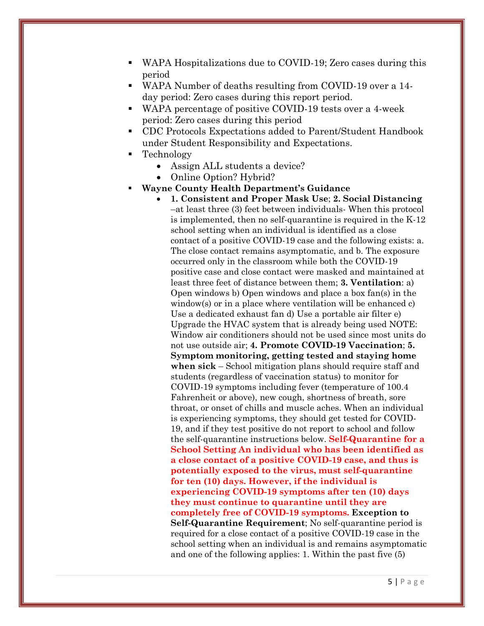- WAPA Hospitalizations due to COVID-19; Zero cases during this period
- WAPA Number of deaths resulting from COVID-19 over a 14 day period: Zero cases during this report period.
- WAPA percentage of positive COVID-19 tests over a 4-week period: Zero cases during this period
- CDC Protocols Expectations added to Parent/Student Handbook under Student Responsibility and Expectations.
- **Technology** 
	- Assign ALL students a device?
	- Online Option? Hybrid?
- **Wayne County Health Department's Guidance** 
	- **1. Consistent and Proper Mask Use**; **2. Social Distancing** –at least three (3) feet between individuals- When this protocol is implemented, then no self-quarantine is required in the K-12 school setting when an individual is identified as a close contact of a positive COVID-19 case and the following exists: a. The close contact remains asymptomatic, and b. The exposure occurred only in the classroom while both the COVID-19 positive case and close contact were masked and maintained at least three feet of distance between them; **3. Ventilation**: a) Open windows b) Open windows and place a box fan(s) in the window(s) or in a place where ventilation will be enhanced c) Use a dedicated exhaust fan d) Use a portable air filter e) Upgrade the HVAC system that is already being used NOTE: Window air conditioners should not be used since most units do not use outside air; **4. Promote COVID-19 Vaccination**; **5. Symptom monitoring, getting tested and staying home when sick** – School mitigation plans should require staff and students (regardless of vaccination status) to monitor for COVID-19 symptoms including fever (temperature of 100.4 Fahrenheit or above), new cough, shortness of breath, sore throat, or onset of chills and muscle aches. When an individual is experiencing symptoms, they should get tested for COVID-19, and if they test positive do not report to school and follow the self-quarantine instructions below. **Self-Quarantine for a School Setting An individual who has been identified as a close contact of a positive COVID-19 case, and thus is potentially exposed to the virus, must self-quarantine for ten (10) days. However, if the individual is experiencing COVID-19 symptoms after ten (10) days they must continue to quarantine until they are completely free of COVID-19 symptoms. Exception to Self-Quarantine Requirement**; No self-quarantine period is required for a close contact of a positive COVID-19 case in the school setting when an individual is and remains asymptomatic and one of the following applies: 1. Within the past five (5)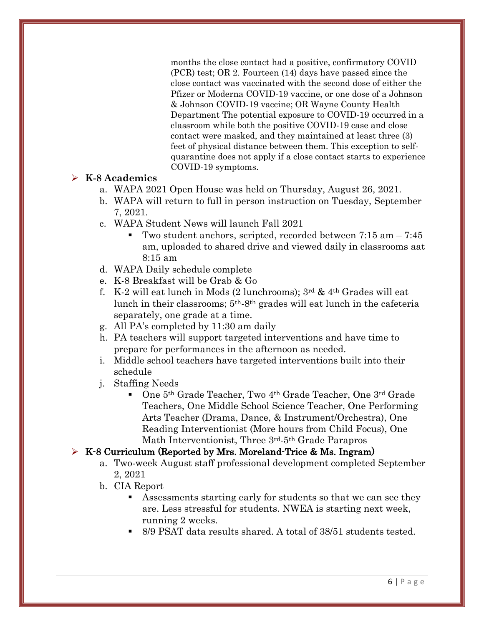months the close contact had a positive, confirmatory COVID (PCR) test; OR 2. Fourteen (14) days have passed since the close contact was vaccinated with the second dose of either the Pfizer or Moderna COVID-19 vaccine, or one dose of a Johnson & Johnson COVID-19 vaccine; OR Wayne County Health Department The potential exposure to COVID-19 occurred in a classroom while both the positive COVID-19 case and close contact were masked, and they maintained at least three (3) feet of physical distance between them. This exception to selfquarantine does not apply if a close contact starts to experience COVID-19 symptoms.

#### ➢ **K-8 Academics**

- a. WAPA 2021 Open House was held on Thursday, August 26, 2021.
- b. WAPA will return to full in person instruction on Tuesday, September 7, 2021.
- c. WAPA Student News will launch Fall 2021
	- Two student anchors, scripted, recorded between 7:15 am 7:45 am, uploaded to shared drive and viewed daily in classrooms aat 8:15 am
- d. WAPA Daily schedule complete
- e. K-8 Breakfast will be Grab & Go
- f. K-2 will eat lunch in Mods  $(2 \text{ lunchrooms})$ ;  $3^{\text{rd}}$  &  $4^{\text{th}}$  Grades will eat lunch in their classrooms; 5th-8th grades will eat lunch in the cafeteria separately, one grade at a time.
- g. All PA's completed by 11:30 am daily
- h. PA teachers will support targeted interventions and have time to prepare for performances in the afternoon as needed.
- i. Middle school teachers have targeted interventions built into their schedule
- j. Staffing Needs
	- One 5<sup>th</sup> Grade Teacher, Two 4<sup>th</sup> Grade Teacher, One 3<sup>rd</sup> Grade Teachers, One Middle School Science Teacher, One Performing Arts Teacher (Drama, Dance, & Instrument/Orchestra), One Reading Interventionist (More hours from Child Focus), One Math Interventionist, Three 3rd-5th Grade Parapros

### ➢ K-8 Curriculum (Reported by Mrs. Moreland-Trice & Ms. Ingram)

- a. Two-week August staff professional development completed September 2, 2021
- b. CIA Report
	- Assessments starting early for students so that we can see they are. Less stressful for students. NWEA is starting next week, running 2 weeks.
	- 8/9 PSAT data results shared. A total of 38/51 students tested.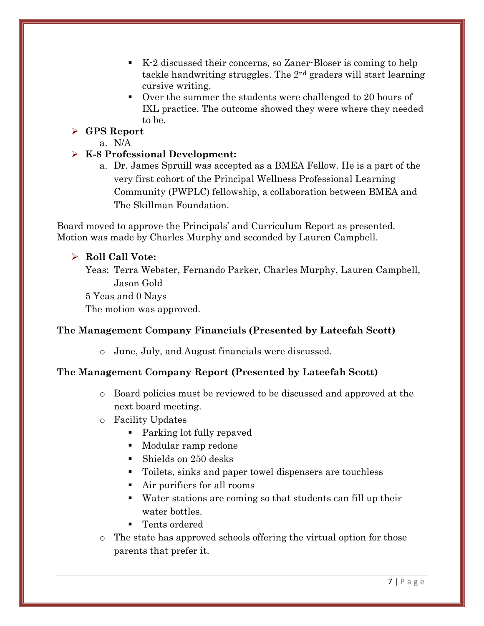- K-2 discussed their concerns, so Zaner-Bloser is coming to help tackle handwriting struggles. The 2nd graders will start learning cursive writing.
- Over the summer the students were challenged to 20 hours of IXL practice. The outcome showed they were where they needed to be.

# ➢ **GPS Report**

a. N/A

### ➢ **K-8 Professional Development:**

a. Dr. James Spruill was accepted as a BMEA Fellow. He is a part of the very first cohort of the Principal Wellness Professional Learning Community (PWPLC) fellowship, a collaboration between BMEA and The Skillman Foundation.

Board moved to approve the Principals' and Curriculum Report as presented. Motion was made by Charles Murphy and seconded by Lauren Campbell.

# ➢ **Roll Call Vote:**

Yeas: Terra Webster, Fernando Parker, Charles Murphy, Lauren Campbell, Jason Gold

5 Yeas and 0 Nays

The motion was approved.

# **The Management Company Financials (Presented by Lateefah Scott)**

o June, July, and August financials were discussed.

### **The Management Company Report (Presented by Lateefah Scott)**

- o Board policies must be reviewed to be discussed and approved at the next board meeting.
- o Facility Updates
	- Parking lot fully repaved
	- Modular ramp redone
	- Shields on 250 desks
	- Toilets, sinks and paper towel dispensers are touchless
	- Air purifiers for all rooms
	- Water stations are coming so that students can fill up their water bottles.
	- Tents ordered
- o The state has approved schools offering the virtual option for those parents that prefer it.